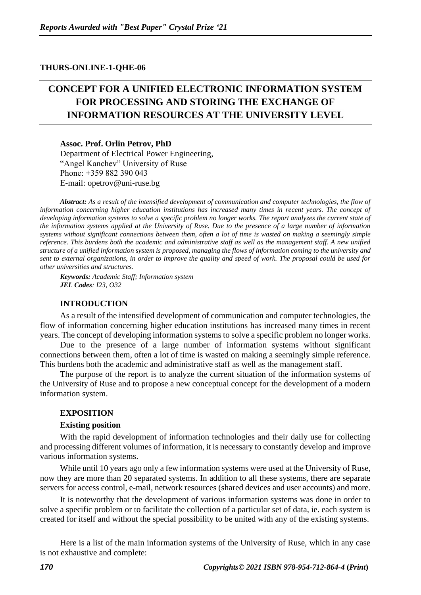#### **THURS-ONLINE-1-QHE-06**

# **CONCEPT FOR A UNIFIED ELECTRONIC INFORMATION SYSTEM FOR PROCESSING AND STORING THE EXCHANGE OF INFORMATION RESOURCES AT THE UNIVERSITY LEVEL**

**Assoc. Prof. Orlin Petrov, PhD** Department of Electrical Power Engineering, "Angel Kanchev" University of Ruse Рhone: +359 882 390 043 Е-mail: opetrov@uni-ruse.bg

*Abstract: As a result of the intensified development of communication and computer technologies, the flow of information concerning higher education institutions has increased many times in recent years. The concept of developing information systems to solve a specific problem no longer works. The report analyzes the current state of the information systems applied at the University of Ruse. Due to the presence of a large number of information systems without significant connections between them, often a lot of time is wasted on making a seemingly simple reference. This burdens both the academic and administrative staff as well as the management staff. A new unified structure of a unified information system is proposed, managing the flows of information coming to the university and sent to external organizations, in order to improve the quality and speed of work. The proposal could be used for other universities and structures.*

*Keywords: Academic Staff; Information system JEL Codes: I23, O32*

#### **INTRODUCTION**

As a result of the intensified development of communication and computer technologies, the flow of information concerning higher education institutions has increased many times in recent years. The concept of developing information systems to solve a specific problem no longer works.

Due to the presence of a large number of information systems without significant connections between them, often a lot of time is wasted on making a seemingly simple reference. This burdens both the academic and administrative staff as well as the management staff.

The purpose of the report is to analyze the current situation of the information systems of the University of Ruse and to propose a new conceptual concept for the development of a modern information system.

#### **EXPOSITION**

#### **Existing position**

With the rapid development of information technologies and their daily use for collecting and processing different volumes of information, it is necessary to constantly develop and improve various information systems.

While until 10 years ago only a few information systems were used at the University of Ruse, now they are more than 20 separated systems. In addition to all these systems, there are separate servers for access control, e-mail, network resources (shared devices and user accounts) and more.

It is noteworthy that the development of various information systems was done in order to solve a specific problem or to facilitate the collection of a particular set of data, ie. each system is created for itself and without the special possibility to be united with any of the existing systems.

Here is a list of the main information systems of the University of Ruse, which in any case is not exhaustive and complete: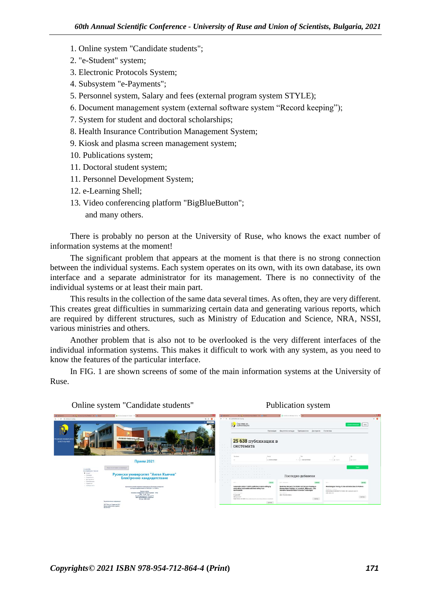- 1. Online system "Candidate students";
- 2. "e-Student" system;
- 3. Electronic Protocols System;
- 4. Subsystem "e-Payments";
- 5. Personnel system, Salary and fees (external program system STYLE);
- 6. Document management system (external software system "Record keeping");
- 7. System for student and doctoral scholarships;
- 8. Health Insurance Contribution Management System;
- 9. Kiosk and plasma screen management system;
- 10. Publications system;
- 11. Doctoral student system;
- 11. Personnel Development System;
- 12. e-Learning Shell;
- 13. Video conferencing platform "BigBlueButton"; and many others.

There is probably no person at the University of Ruse, who knows the exact number of information systems at the moment!

The significant problem that appears at the moment is that there is no strong connection between the individual systems. Each system operates on its own, with its own database, its own interface and a separate administrator for its management. There is no connectivity of the individual systems or at least their main part.

This results in the collection of the same data several times. As often, they are very different. This creates great difficulties in summarizing certain data and generating various reports, which are required by different structures, such as Ministry of Education and Science, NRA, NSSI, various ministries and others.

Another problem that is also not to be overlooked is the very different interfaces of the individual information systems. This makes it difficult to work with any system, as you need to know the features of the particular interface.

In FIG. 1 are shown screens of some of the main information systems at the University of Ruse.



### Online system "Candidate students" Publication system

# *Copyrights© 2021 ISBN 978-954-712-864-4* **(***Print***)** *171*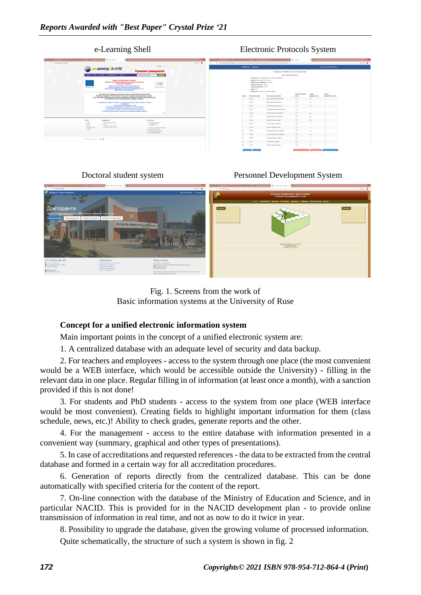| $- 7 - 10$<br>A 1 b. Millerson of the West of L. L. Leonard<br><b>B</b> <i>Chairma Tiel</i><br>X   L (Striversity Stockholm)   X   Rd Separ<br>X   @ Sompare Resourcement X   3 silvings<br><b>Diffullation</b><br>13 Satisfaces<br>1 0 O<br>$x \rightarrow 0$ a changer-costs<br>← → C & e-pressinari-rankg/terminal/knigwwr//ihmedAzigwwr/z3pogCode=9000liptctcc/fiumbwr-21f311ElizezionCode=1<br>Curator will<br>e-Protocols Jacquement<br>Driftsp.gpm, UMLRUSE.kopetrovi<br>Learning Shall 02<br>Русенски университет<br>PYCEHOG4 YH4SEPCHTET "AHTER KNHHES"<br><b>Contact on Contact Contact Contact</b><br>mone in<br>Поски по ключем длях<br>изпитен протокол<br>Олецкальноет: Електроемертетика и електрооблавендане<br>Период: Энамн смакстью 2021/0022<br>TIPOEKT Ni BOBSYPOODS-A.1.84-0007<br>Развития не плектронки фозми на дистриционно обучения<br>Креен срок за польсвани: 10.02.2022).<br>a Pytotecane presencement"<br>Форма на обучении: Задонно<br>Преектутов вскудествиях в филологиката гадарита на<br>Намер на протокол: 2172115<br><b>Basementine Gentle</b><br>Оперативна програма "Развития на чрезциоло ресурса".<br>ruberarionaria el Fanovelenia relaxanta desis la Fanonibraza rum<br>Faves: 9000<br><b>Reasongs the neares Duties!</b><br>Диоциллина: 5510555-Осветителии уродок<br>Настоящиет сайт в напошвек с финансовата помощ на Ехропейских социален фонд.<br>Cumera za peddana<br>Osener<br>Outside<br>Русанскиму университет "Антал Еънчов" носи цигата отговорчист за съдържанието на сайта.<br><b>Constitution House</b><br>Hos. Forces, October<br>CROSS<br><b>CABDING CHOAN</b><br>HOSHO<br>нойто гди начанки оботоктичетка на може да ок тонкеми като официална повещих на Европейских съюз<br>$\sim$ $\omega$<br>мли на Менютерството на обзазованието, младента и науката.<br>100514<br>Квали Калониров Хонстанов<br>80.<br>$\sim$<br>$\sim$ $\omega$<br>172512<br>Groccras l'innes Hacona<br>Cupulnamento no el Se e reia seguriara va Santiva se orrispontro romas in caspiorei no reiosa.<br>4.0<br>Convertisin in<br>The electronized na navepalare at callra<br>$\sim$<br>172514<br>Hussell Pormon Masswork<br>4.01<br>4 Salk/boTK/ed girlick/etti vs doubstreak widd a se-estbars artist.<br>Использование на жителезными и компонентном совмести с действиями и<br>$\sim$ $\omega$<br>170517<br>Разостав Любомиров Симвонов.<br>Carel since a beautif cia inacionale changebor on admitse cal inacionalistical state.<br>Buyer-Alestro a Alarm carticles vol. spanin vice vehicle/andre a ALBa e possessive.<br>$-21$<br>$\sim$<br>172530<br><b>Gareers-Meakon Bacones</b><br>80.<br>$\circ$<br>$\sim$ $\omega$<br><b>170501</b><br><b><i>Universe Classifieds Crameracea</i></b><br>80 <sub>1</sub><br>$\overline{\mathbb{R}^d}$<br>Pingerpagua<br><b>Se contacto</b><br>172542<br>Manag<br><b>Magazie Stattegg Awards</b><br><b>ROLL</b><br>· Per echpaign in the default of<br>1 Horseler<br>25 Palabase passenged of<br>$\sim$<br>173550<br>Стофии Киров Стофанов<br>US. "Chapterson" B.<br>in sale.<br>. Sea.<br>THIT FUR<br>1 Cylincown operation 1718<br>1 Seconds<br>$\overline{\mathbb{R}^d}$<br>- Talimuseo prigor 6976<br>172600<br>A Romphass wants<br><b>Festera Messings Ferrest</b><br>United by preferably the affirmation<br>4 Super<br>en sitci ata em act, res<br>$\sim$ $\omega$<br>IF manipulprison meets<br>-17 MiOil<br>$\mathbf{r}$<br>Денегия Кирилов Костадичев<br>40 <sup>o</sup><br><b>R</b> PHINGER HUMBRIDGE<br>$-4$<br>173605<br>Creber Cerrochasce Creditect<br>2011<br>$\sim$<br>$\mathbf{r}$<br>173609<br>Никола Диантров Тодоров<br>di 3007 a license (Fed. 5) Planes Ct.<br>$\sim$<br>172610<br>13<br>Toppo Lieveze Toppone<br>$\sim$<br>$\sim$<br>153547<br>14<br>Repport Visiones Feophers<br>6 <sup>o</sup> | e-Learning Shell |  |  |  |  | <b>Electronic Protocols System</b> |  |  |  |  |  |  |  |
|---------------------------------------------------------------------------------------------------------------------------------------------------------------------------------------------------------------------------------------------------------------------------------------------------------------------------------------------------------------------------------------------------------------------------------------------------------------------------------------------------------------------------------------------------------------------------------------------------------------------------------------------------------------------------------------------------------------------------------------------------------------------------------------------------------------------------------------------------------------------------------------------------------------------------------------------------------------------------------------------------------------------------------------------------------------------------------------------------------------------------------------------------------------------------------------------------------------------------------------------------------------------------------------------------------------------------------------------------------------------------------------------------------------------------------------------------------------------------------------------------------------------------------------------------------------------------------------------------------------------------------------------------------------------------------------------------------------------------------------------------------------------------------------------------------------------------------------------------------------------------------------------------------------------------------------------------------------------------------------------------------------------------------------------------------------------------------------------------------------------------------------------------------------------------------------------------------------------------------------------------------------------------------------------------------------------------------------------------------------------------------------------------------------------------------------------------------------------------------------------------------------------------------------------------------------------------------------------------------------------------------------------------------------------------------------------------------------------------------------------------------------------------------------------------------------------------------------------------------------------------------------------------------------------------------------------------------------------------------------------------------------------------------------------------------------------------------------------------------------------------------------------------------------------------------------------------------------------------------------------------------------------------------------------------------------------------------------------------------------------------------------------------------------------------------------------------------------------------------------------------------------------------------------------------------------------------------------------------------------------------------------------------------------------------------------------------------------------------------------------------------------------------------------------------------|------------------|--|--|--|--|------------------------------------|--|--|--|--|--|--|--|
|                                                                                                                                                                                                                                                                                                                                                                                                                                                                                                                                                                                                                                                                                                                                                                                                                                                                                                                                                                                                                                                                                                                                                                                                                                                                                                                                                                                                                                                                                                                                                                                                                                                                                                                                                                                                                                                                                                                                                                                                                                                                                                                                                                                                                                                                                                                                                                                                                                                                                                                                                                                                                                                                                                                                                                                                                                                                                                                                                                                                                                                                                                                                                                                                                                                                                                                                                                                                                                                                                                                                                                                                                                                                                                                                                                                                         |                  |  |  |  |  |                                    |  |  |  |  |  |  |  |
|                                                                                                                                                                                                                                                                                                                                                                                                                                                                                                                                                                                                                                                                                                                                                                                                                                                                                                                                                                                                                                                                                                                                                                                                                                                                                                                                                                                                                                                                                                                                                                                                                                                                                                                                                                                                                                                                                                                                                                                                                                                                                                                                                                                                                                                                                                                                                                                                                                                                                                                                                                                                                                                                                                                                                                                                                                                                                                                                                                                                                                                                                                                                                                                                                                                                                                                                                                                                                                                                                                                                                                                                                                                                                                                                                                                                         |                  |  |  |  |  |                                    |  |  |  |  |  |  |  |
| <b>PORCOBATIVING CACAR</b>                                                                                                                                                                                                                                                                                                                                                                                                                                                                                                                                                                                                                                                                                                                                                                                                                                                                                                                                                                                                                                                                                                                                                                                                                                                                                                                                                                                                                                                                                                                                                                                                                                                                                                                                                                                                                                                                                                                                                                                                                                                                                                                                                                                                                                                                                                                                                                                                                                                                                                                                                                                                                                                                                                                                                                                                                                                                                                                                                                                                                                                                                                                                                                                                                                                                                                                                                                                                                                                                                                                                                                                                                                                                                                                                                                              |                  |  |  |  |  |                                    |  |  |  |  |  |  |  |
|                                                                                                                                                                                                                                                                                                                                                                                                                                                                                                                                                                                                                                                                                                                                                                                                                                                                                                                                                                                                                                                                                                                                                                                                                                                                                                                                                                                                                                                                                                                                                                                                                                                                                                                                                                                                                                                                                                                                                                                                                                                                                                                                                                                                                                                                                                                                                                                                                                                                                                                                                                                                                                                                                                                                                                                                                                                                                                                                                                                                                                                                                                                                                                                                                                                                                                                                                                                                                                                                                                                                                                                                                                                                                                                                                                                                         |                  |  |  |  |  |                                    |  |  |  |  |  |  |  |
|                                                                                                                                                                                                                                                                                                                                                                                                                                                                                                                                                                                                                                                                                                                                                                                                                                                                                                                                                                                                                                                                                                                                                                                                                                                                                                                                                                                                                                                                                                                                                                                                                                                                                                                                                                                                                                                                                                                                                                                                                                                                                                                                                                                                                                                                                                                                                                                                                                                                                                                                                                                                                                                                                                                                                                                                                                                                                                                                                                                                                                                                                                                                                                                                                                                                                                                                                                                                                                                                                                                                                                                                                                                                                                                                                                                                         |                  |  |  |  |  |                                    |  |  |  |  |  |  |  |
|                                                                                                                                                                                                                                                                                                                                                                                                                                                                                                                                                                                                                                                                                                                                                                                                                                                                                                                                                                                                                                                                                                                                                                                                                                                                                                                                                                                                                                                                                                                                                                                                                                                                                                                                                                                                                                                                                                                                                                                                                                                                                                                                                                                                                                                                                                                                                                                                                                                                                                                                                                                                                                                                                                                                                                                                                                                                                                                                                                                                                                                                                                                                                                                                                                                                                                                                                                                                                                                                                                                                                                                                                                                                                                                                                                                                         |                  |  |  |  |  |                                    |  |  |  |  |  |  |  |
|                                                                                                                                                                                                                                                                                                                                                                                                                                                                                                                                                                                                                                                                                                                                                                                                                                                                                                                                                                                                                                                                                                                                                                                                                                                                                                                                                                                                                                                                                                                                                                                                                                                                                                                                                                                                                                                                                                                                                                                                                                                                                                                                                                                                                                                                                                                                                                                                                                                                                                                                                                                                                                                                                                                                                                                                                                                                                                                                                                                                                                                                                                                                                                                                                                                                                                                                                                                                                                                                                                                                                                                                                                                                                                                                                                                                         |                  |  |  |  |  |                                    |  |  |  |  |  |  |  |
|                                                                                                                                                                                                                                                                                                                                                                                                                                                                                                                                                                                                                                                                                                                                                                                                                                                                                                                                                                                                                                                                                                                                                                                                                                                                                                                                                                                                                                                                                                                                                                                                                                                                                                                                                                                                                                                                                                                                                                                                                                                                                                                                                                                                                                                                                                                                                                                                                                                                                                                                                                                                                                                                                                                                                                                                                                                                                                                                                                                                                                                                                                                                                                                                                                                                                                                                                                                                                                                                                                                                                                                                                                                                                                                                                                                                         |                  |  |  |  |  |                                    |  |  |  |  |  |  |  |
|                                                                                                                                                                                                                                                                                                                                                                                                                                                                                                                                                                                                                                                                                                                                                                                                                                                                                                                                                                                                                                                                                                                                                                                                                                                                                                                                                                                                                                                                                                                                                                                                                                                                                                                                                                                                                                                                                                                                                                                                                                                                                                                                                                                                                                                                                                                                                                                                                                                                                                                                                                                                                                                                                                                                                                                                                                                                                                                                                                                                                                                                                                                                                                                                                                                                                                                                                                                                                                                                                                                                                                                                                                                                                                                                                                                                         |                  |  |  |  |  |                                    |  |  |  |  |  |  |  |
|                                                                                                                                                                                                                                                                                                                                                                                                                                                                                                                                                                                                                                                                                                                                                                                                                                                                                                                                                                                                                                                                                                                                                                                                                                                                                                                                                                                                                                                                                                                                                                                                                                                                                                                                                                                                                                                                                                                                                                                                                                                                                                                                                                                                                                                                                                                                                                                                                                                                                                                                                                                                                                                                                                                                                                                                                                                                                                                                                                                                                                                                                                                                                                                                                                                                                                                                                                                                                                                                                                                                                                                                                                                                                                                                                                                                         |                  |  |  |  |  |                                    |  |  |  |  |  |  |  |
|                                                                                                                                                                                                                                                                                                                                                                                                                                                                                                                                                                                                                                                                                                                                                                                                                                                                                                                                                                                                                                                                                                                                                                                                                                                                                                                                                                                                                                                                                                                                                                                                                                                                                                                                                                                                                                                                                                                                                                                                                                                                                                                                                                                                                                                                                                                                                                                                                                                                                                                                                                                                                                                                                                                                                                                                                                                                                                                                                                                                                                                                                                                                                                                                                                                                                                                                                                                                                                                                                                                                                                                                                                                                                                                                                                                                         |                  |  |  |  |  |                                    |  |  |  |  |  |  |  |
|                                                                                                                                                                                                                                                                                                                                                                                                                                                                                                                                                                                                                                                                                                                                                                                                                                                                                                                                                                                                                                                                                                                                                                                                                                                                                                                                                                                                                                                                                                                                                                                                                                                                                                                                                                                                                                                                                                                                                                                                                                                                                                                                                                                                                                                                                                                                                                                                                                                                                                                                                                                                                                                                                                                                                                                                                                                                                                                                                                                                                                                                                                                                                                                                                                                                                                                                                                                                                                                                                                                                                                                                                                                                                                                                                                                                         |                  |  |  |  |  |                                    |  |  |  |  |  |  |  |
|                                                                                                                                                                                                                                                                                                                                                                                                                                                                                                                                                                                                                                                                                                                                                                                                                                                                                                                                                                                                                                                                                                                                                                                                                                                                                                                                                                                                                                                                                                                                                                                                                                                                                                                                                                                                                                                                                                                                                                                                                                                                                                                                                                                                                                                                                                                                                                                                                                                                                                                                                                                                                                                                                                                                                                                                                                                                                                                                                                                                                                                                                                                                                                                                                                                                                                                                                                                                                                                                                                                                                                                                                                                                                                                                                                                                         |                  |  |  |  |  |                                    |  |  |  |  |  |  |  |
|                                                                                                                                                                                                                                                                                                                                                                                                                                                                                                                                                                                                                                                                                                                                                                                                                                                                                                                                                                                                                                                                                                                                                                                                                                                                                                                                                                                                                                                                                                                                                                                                                                                                                                                                                                                                                                                                                                                                                                                                                                                                                                                                                                                                                                                                                                                                                                                                                                                                                                                                                                                                                                                                                                                                                                                                                                                                                                                                                                                                                                                                                                                                                                                                                                                                                                                                                                                                                                                                                                                                                                                                                                                                                                                                                                                                         |                  |  |  |  |  |                                    |  |  |  |  |  |  |  |
|                                                                                                                                                                                                                                                                                                                                                                                                                                                                                                                                                                                                                                                                                                                                                                                                                                                                                                                                                                                                                                                                                                                                                                                                                                                                                                                                                                                                                                                                                                                                                                                                                                                                                                                                                                                                                                                                                                                                                                                                                                                                                                                                                                                                                                                                                                                                                                                                                                                                                                                                                                                                                                                                                                                                                                                                                                                                                                                                                                                                                                                                                                                                                                                                                                                                                                                                                                                                                                                                                                                                                                                                                                                                                                                                                                                                         |                  |  |  |  |  |                                    |  |  |  |  |  |  |  |
|                                                                                                                                                                                                                                                                                                                                                                                                                                                                                                                                                                                                                                                                                                                                                                                                                                                                                                                                                                                                                                                                                                                                                                                                                                                                                                                                                                                                                                                                                                                                                                                                                                                                                                                                                                                                                                                                                                                                                                                                                                                                                                                                                                                                                                                                                                                                                                                                                                                                                                                                                                                                                                                                                                                                                                                                                                                                                                                                                                                                                                                                                                                                                                                                                                                                                                                                                                                                                                                                                                                                                                                                                                                                                                                                                                                                         |                  |  |  |  |  |                                    |  |  |  |  |  |  |  |
|                                                                                                                                                                                                                                                                                                                                                                                                                                                                                                                                                                                                                                                                                                                                                                                                                                                                                                                                                                                                                                                                                                                                                                                                                                                                                                                                                                                                                                                                                                                                                                                                                                                                                                                                                                                                                                                                                                                                                                                                                                                                                                                                                                                                                                                                                                                                                                                                                                                                                                                                                                                                                                                                                                                                                                                                                                                                                                                                                                                                                                                                                                                                                                                                                                                                                                                                                                                                                                                                                                                                                                                                                                                                                                                                                                                                         |                  |  |  |  |  |                                    |  |  |  |  |  |  |  |











## **Concept for a unified electronic information system**

Main important points in the concept of a unified electronic system are:

1. A centralized database with an adequate level of security and data backup.

2. For teachers and employees - access to the system through one place (the most convenient would be a WEB interface, which would be accessible outside the University) - filling in the relevant data in one place. Regular filling in of information (at least once a month), with a sanction provided if this is not done!

3. For students and PhD students - access to the system from one place (WEB interface would be most convenient). Creating fields to highlight important information for them (class schedule, news, etc.)! Ability to check grades, generate reports and the other.

4. For the management - access to the entire database with information presented in a convenient way (summary, graphical and other types of presentations).

5. In case of accreditations and requested references - the data to be extracted from the central database and formed in a certain way for all accreditation procedures.

6. Generation of reports directly from the centralized database. This can be done automatically with specified criteria for the content of the report.

7. On-line connection with the database of the Ministry of Education and Science, and in particular NACID. This is provided for in the NACID development plan - to provide online transmission of information in real time, and not as now to do it twice in year.

8. Possibility to upgrade the database, given the growing volume of processed information.

Quite schematically, the structure of such a system is shown in fig. 2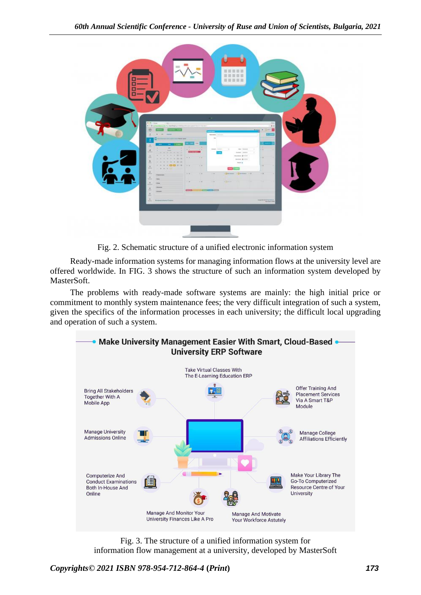

Fig. 2. Schematic structure of a unified electronic information system

Ready-made information systems for managing information flows at the university level are offered worldwide. In FIG. 3 shows the structure of such an information system developed by MasterSoft.

The problems with ready-made software systems are mainly: the high initial price or commitment to monthly system maintenance fees; the very difficult integration of such a system, given the specifics of the information processes in each university; the difficult local upgrading and operation of such a system.



Fig. 3. The structure of a unified information system for information flow management at a university, developed by MasterSoft

*Copyrights© 2021 ISBN 978-954-712-864-4* **(***Print***)** *173*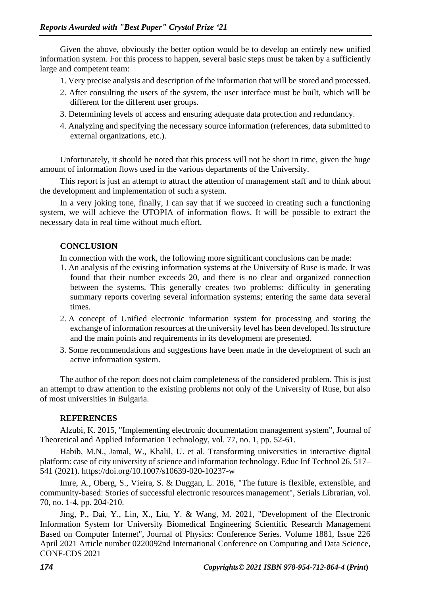Given the above, obviously the better option would be to develop an entirely new unified information system. For this process to happen, several basic steps must be taken by a sufficiently large and competent team:

- 1. Very precise analysis and description of the information that will be stored and processed.
- 2. After consulting the users of the system, the user interface must be built, which will be different for the different user groups.
- 3. Determining levels of access and ensuring adequate data protection and redundancy.
- 4. Analyzing and specifying the necessary source information (references, data submitted to external organizations, etc.).

Unfortunately, it should be noted that this process will not be short in time, given the huge amount of information flows used in the various departments of the University.

This report is just an attempt to attract the attention of management staff and to think about the development and implementation of such a system.

In a very joking tone, finally, I can say that if we succeed in creating such a functioning system, we will achieve the UTOPIA of information flows. It will be possible to extract the necessary data in real time without much effort.

## **CONCLUSION**

In connection with the work, the following more significant conclusions can be made:

- 1. An analysis of the existing information systems at the University of Ruse is made. It was found that their number exceeds 20, and there is no clear and organized connection between the systems. This generally creates two problems: difficulty in generating summary reports covering several information systems; entering the same data several times.
- 2. A concept of Unified electronic information system for processing and storing the exchange of information resources at the university level has been developed. Its structure and the main points and requirements in its development are presented.
- 3. Some recommendations and suggestions have been made in the development of such an active information system.

The author of the report does not claim completeness of the considered problem. This is just an attempt to draw attention to the existing problems not only of the University of Ruse, but also of most universities in Bulgaria.

## **REFERENCES**

Alzubi, K. 2015, "Implementing electronic documentation management system", Journal of Theoretical and Applied Information Technology, vol. 77, no. 1, pp. 52-61.

Habib, M.N., Jamal, W., Khalil, U. et al. Transforming universities in interactive digital platform: case of city university of science and information technology. Educ Inf Technol 26, 517– 541 (2021). https://doi.org/10.1007/s10639-020-10237-w

Imre, A., Oberg, S., Vieira, S. & Duggan, L. 2016, "The future is flexible, extensible, and community-based: Stories of successful electronic resources management", Serials Librarian, vol. 70, no. 1-4, pp. 204-210.

Jing, P., Dai, Y., Lin, X., Liu, Y. & Wang, M. 2021, "Development of the Electronic Information System for University Biomedical Engineering Scientific Research Management Based on Computer Internet", Journal of Physics: Conference Series. Volume 1881, Issue 226 April 2021 Article number 0220092nd International Conference on Computing and Data Science, CONF-CDS 2021